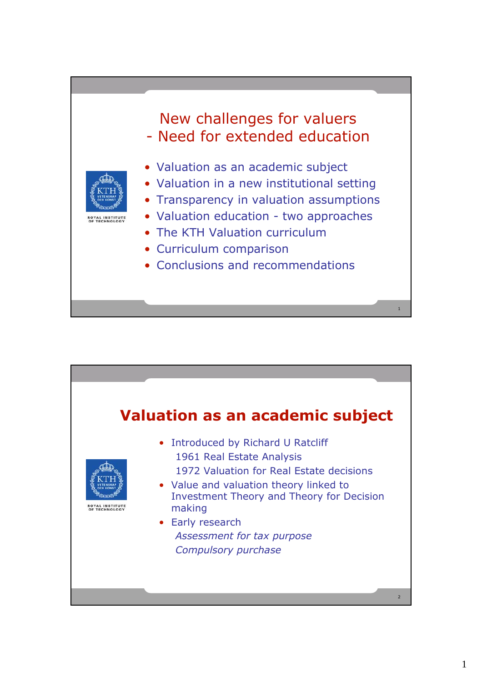## New challenges for valuers - Need for extended education



- Valuation as an academic subject
- Valuation in a new institutional setting
- Transparency in valuation assumptions
- Valuation education two approaches
- The KTH Valuation curriculum
- Curriculum comparison
- Conclusions and recommendations



1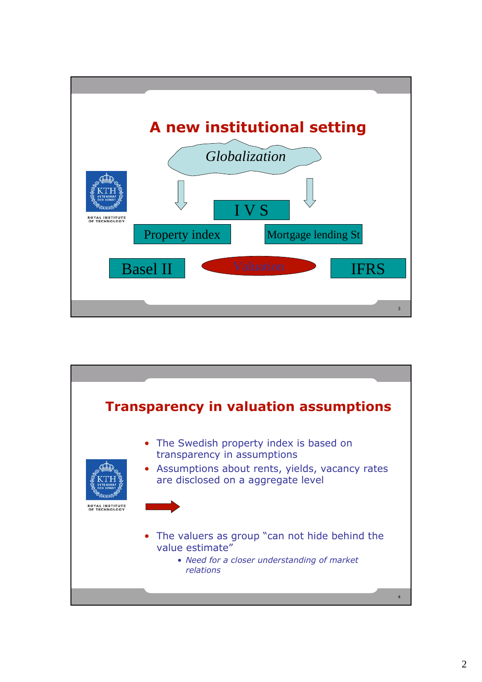

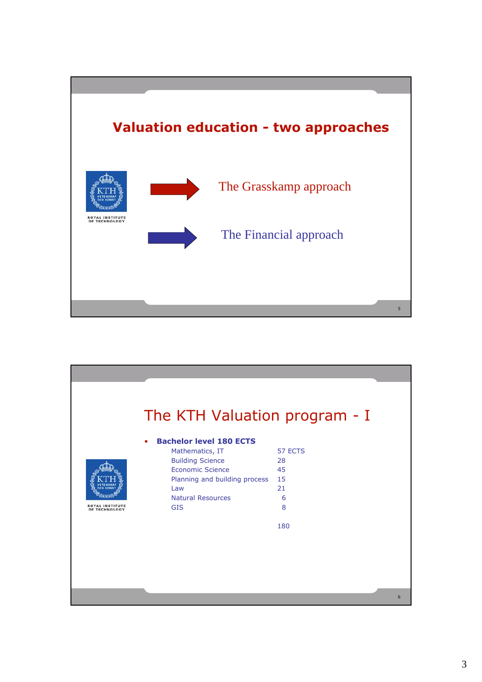

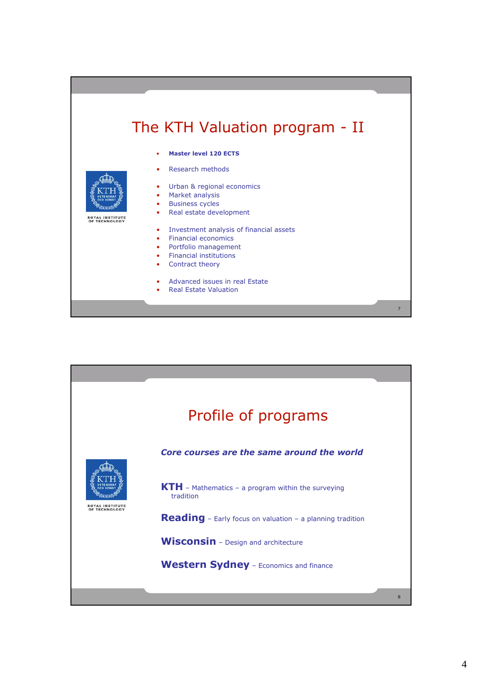## The KTH Valuation program - II

- **Master level 120 ECTS**
- Research methods
- Urban & regional economics
- Market analysis
- **Business cycles**
- Real estate development
- Investment analysis of financial assets
- Financial economics
- Portfolio management
- Financial institutions
- Contract theory
- Advanced issues in real Estate
- Real Estate Valuation





**ROYAL INSTITUTE<br>OF TECHNOLOGY** 

7